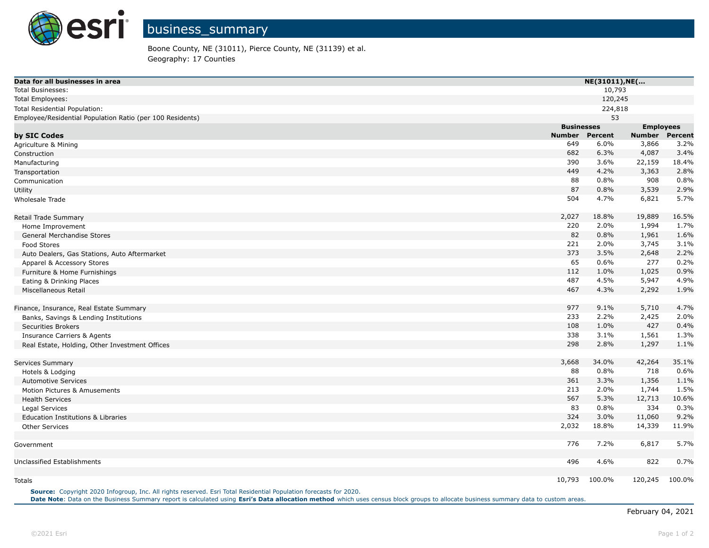

Boone County, NE (31011), Pierce County, NE (31139) et al. Geography: 17 Counties

| Data for all businesses in area                           |                   | NE(31011), NE( |                  |         |  |
|-----------------------------------------------------------|-------------------|----------------|------------------|---------|--|
| <b>Total Businesses:</b>                                  |                   | 10,793         |                  |         |  |
| Total Employees:                                          |                   | 120,245        |                  |         |  |
| Total Residential Population:                             |                   | 224,818        |                  |         |  |
| Employee/Residential Population Ratio (per 100 Residents) |                   | 53             |                  |         |  |
|                                                           | <b>Businesses</b> |                | <b>Employees</b> |         |  |
| by SIC Codes                                              | <b>Number</b>     | <b>Percent</b> | <b>Number</b>    | Percent |  |
| Agriculture & Mining                                      | 649               | 6.0%           | 3,866            | 3.2%    |  |
| Construction                                              | 682               | 6.3%           | 4,087            | 3.4%    |  |
| Manufacturing                                             | 390               | 3.6%           | 22,159           | 18.4%   |  |
| Transportation                                            | 449               | 4.2%           | 3,363            | 2.8%    |  |
| Communication                                             | 88                | 0.8%           | 908              | 0.8%    |  |
| Utility                                                   | 87                | 0.8%           | 3,539            | 2.9%    |  |
| Wholesale Trade                                           | 504               | 4.7%           | 6,821            | 5.7%    |  |
| Retail Trade Summary                                      | 2,027             | 18.8%          | 19,889           | 16.5%   |  |
| Home Improvement                                          | 220               | 2.0%           | 1,994            | 1.7%    |  |
| General Merchandise Stores                                | 82                | 0.8%           | 1,961            | 1.6%    |  |
| Food Stores                                               | 221               | 2.0%           | 3,745            | 3.1%    |  |
| Auto Dealers, Gas Stations, Auto Aftermarket              | 373               | 3.5%           | 2,648            | 2.2%    |  |
| Apparel & Accessory Stores                                | 65                | 0.6%           | 277              | 0.2%    |  |
| Furniture & Home Furnishings                              | 112               | 1.0%           | 1,025            | 0.9%    |  |
| Eating & Drinking Places                                  | 487               | 4.5%           | 5,947            | 4.9%    |  |
| Miscellaneous Retail                                      | 467               | 4.3%           | 2,292            | 1.9%    |  |
| Finance, Insurance, Real Estate Summary                   | 977               | 9.1%           | 5,710            | 4.7%    |  |
| Banks, Savings & Lending Institutions                     | 233               | 2.2%           | 2,425            | 2.0%    |  |
| <b>Securities Brokers</b>                                 | 108               | 1.0%           | 427              | 0.4%    |  |
| <b>Insurance Carriers &amp; Agents</b>                    | 338               | 3.1%           | 1,561            | 1.3%    |  |
| Real Estate, Holding, Other Investment Offices            | 298               | 2.8%           | 1,297            | 1.1%    |  |
| Services Summary                                          | 3,668             | 34.0%          | 42,264           | 35.1%   |  |
| Hotels & Lodging                                          | 88                | 0.8%           | 718              | 0.6%    |  |
| <b>Automotive Services</b>                                | 361               | 3.3%           | 1,356            | 1.1%    |  |
| Motion Pictures & Amusements                              | 213               | 2.0%           | 1,744            | 1.5%    |  |
| <b>Health Services</b>                                    | 567               | 5.3%           | 12,713           | 10.6%   |  |
| Legal Services                                            | 83                | 0.8%           | 334              | 0.3%    |  |
| Education Institutions & Libraries                        | 324               | 3.0%           | 11,060           | 9.2%    |  |
| <b>Other Services</b>                                     | 2,032             | 18.8%          | 14,339           | 11.9%   |  |
| Government                                                | 776               | 7.2%           | 6,817            | 5.7%    |  |
| Unclassified Establishments                               | 496               | 4.6%           | 822              | 0.7%    |  |
|                                                           |                   |                |                  |         |  |
| <b>Totals</b>                                             | 10,793            | 100.0%         | 120,245          | 100.0%  |  |

**Source:** Copyright 2020 Infogroup, Inc. All rights reserved. Esri Total Residential Population forecasts for 2020. Date Note: Data on the Business Summary report is calculated using Esri's Data allocation method which uses census block groups to allocate business summary data to custom areas.